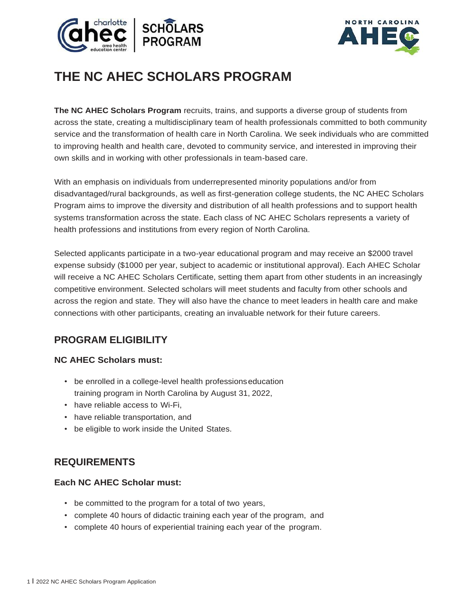



# **THE NC AHEC SCHOLARS PROGRAM**

**The NC AHEC Scholars Program** recruits, trains, and supports a diverse group of students from across the state, creating a multidisciplinary team of health professionals committed to both community service and the transformation of health care in North Carolina. We seek individuals who are committed to improving health and health care, devoted to community service, and interested in improving their own skills and in working with other professionals in team-based care.

With an emphasis on individuals from underrepresented minority populations and/or from disadvantaged/rural backgrounds, as well as first-generation college students, the NC AHEC Scholars Program aims to improve the diversity and distribution of all health professions and to support health systems transformation across the state. Each class of NC AHEC Scholars represents a variety of health professions and institutions from every region of North Carolina.

Selected applicants participate in a two-year educational program and may receive an \$2000 travel expense subsidy (\$1000 per year, subject to academic or institutional approval). Each AHEC Scholar will receive a NC AHEC Scholars Certificate, setting them apart from other students in an increasingly competitive environment. Selected scholars will meet students and faculty from other schools and across the region and state. They will also have the chance to meet leaders in health care and make connections with other participants, creating an invaluable network for their future careers.

## **PROGRAM ELIGIBILITY**

### **NC AHEC Scholars must:**

- be enrolled in a college-level health professionseducation training program in North Carolina by August 31, 2022,
- have reliable access to Wi-Fi,
- have reliable transportation, and
- be eligible to work inside the United States.

## **REQUIREMENTS**

#### **Each NC AHEC Scholar must:**

- be committed to the program for a total of two years,
- complete 40 hours of didactic training each year of the program, and
- complete 40 hours of experiential training each year of the program.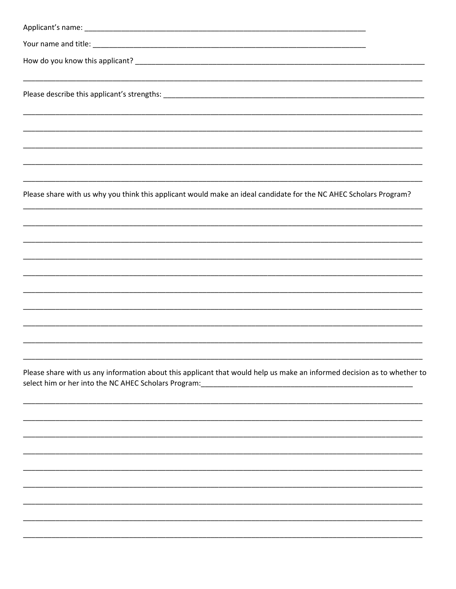| Please share with us why you think this applicant would make an ideal candidate for the NC AHEC Scholars Program?                                                                                                                                                                                |
|--------------------------------------------------------------------------------------------------------------------------------------------------------------------------------------------------------------------------------------------------------------------------------------------------|
|                                                                                                                                                                                                                                                                                                  |
|                                                                                                                                                                                                                                                                                                  |
|                                                                                                                                                                                                                                                                                                  |
|                                                                                                                                                                                                                                                                                                  |
|                                                                                                                                                                                                                                                                                                  |
| Please share with us any information about this applicant that would help us make an informed decision as to whether to<br>select him or her into the NC AHEC Scholars Program:<br>1990 - 2002 - 2003 - 2004 - 2004 - 2004 - 2004 - 2014 - 2016 - 2019 - 2019 - 2019 - 2019 - 2019 - 2019 - 2019 |
|                                                                                                                                                                                                                                                                                                  |
|                                                                                                                                                                                                                                                                                                  |